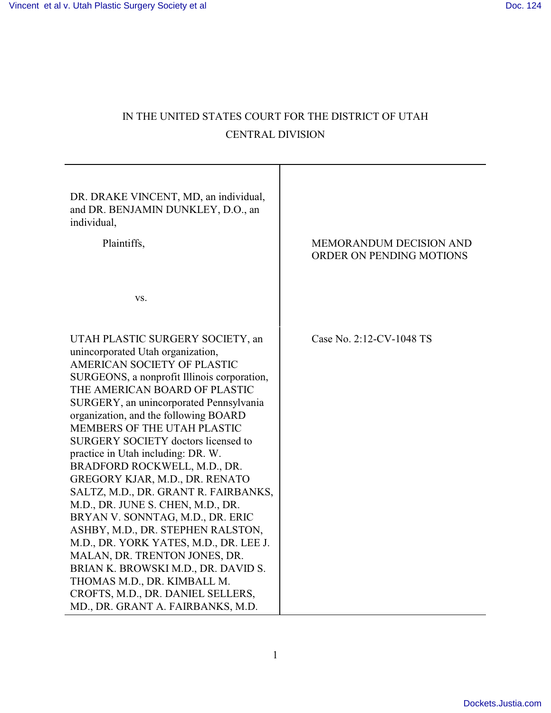# IN THE UNITED STATES COURT FOR THE DISTRICT OF UTAH CENTRAL DIVISION

 $\top$ 

| DR. DRAKE VINCENT, MD, an individual,<br>and DR. BENJAMIN DUNKLEY, D.O., an<br>individual,<br>Plaintiffs, | <b>MEMORANDUM DECISION AND</b><br>ORDER ON PENDING MOTIONS |
|-----------------------------------------------------------------------------------------------------------|------------------------------------------------------------|
| VS.                                                                                                       |                                                            |
| UTAH PLASTIC SURGERY SOCIETY, an                                                                          | Case No. 2:12-CV-1048 TS                                   |
| unincorporated Utah organization,<br>AMERICAN SOCIETY OF PLASTIC                                          |                                                            |
| SURGEONS, a nonprofit Illinois corporation,                                                               |                                                            |
| THE AMERICAN BOARD OF PLASTIC                                                                             |                                                            |
| SURGERY, an unincorporated Pennsylvania<br>organization, and the following BOARD                          |                                                            |
| MEMBERS OF THE UTAH PLASTIC                                                                               |                                                            |
| SURGERY SOCIETY doctors licensed to                                                                       |                                                            |
| practice in Utah including: DR. W.<br>BRADFORD ROCKWELL, M.D., DR.                                        |                                                            |
| GREGORY KJAR, M.D., DR. RENATO                                                                            |                                                            |
| SALTZ, M.D., DR. GRANT R. FAIRBANKS,                                                                      |                                                            |
| M.D., DR. JUNE S. CHEN, M.D., DR.                                                                         |                                                            |
| BRYAN V. SONNTAG, M.D., DR. ERIC                                                                          |                                                            |
| ASHBY, M.D., DR. STEPHEN RALSTON,                                                                         |                                                            |
| M.D., DR. YORK YATES, M.D., DR. LEE J.                                                                    |                                                            |
| MALAN, DR. TRENTON JONES, DR.<br>BRIAN K. BROWSKI M.D., DR. DAVID S.                                      |                                                            |
| THOMAS M.D., DR. KIMBALL M.                                                                               |                                                            |
| CROFTS, M.D., DR. DANIEL SELLERS,                                                                         |                                                            |
| MD., DR. GRANT A. FAIRBANKS, M.D.                                                                         |                                                            |

1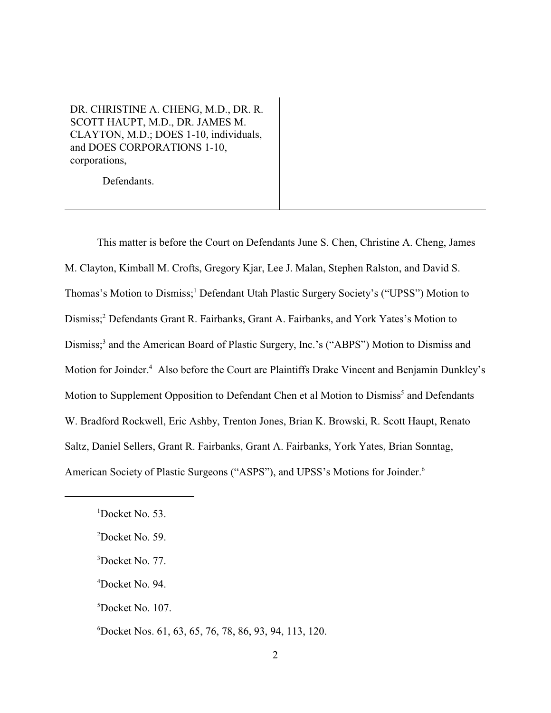DR. CHRISTINE A. CHENG, M.D., DR. R. SCOTT HAUPT, M.D., DR. JAMES M. CLAYTON, M.D.; DOES 1-10, individuals, and DOES CORPORATIONS 1-10, corporations,

Defendants.

This matter is before the Court on Defendants June S. Chen, Christine A. Cheng, James M. Clayton, Kimball M. Crofts, Gregory Kjar, Lee J. Malan, Stephen Ralston, and David S. Thomas's Motion to Dismiss;<sup>1</sup> Defendant Utah Plastic Surgery Society's ("UPSS") Motion to Dismiss;<sup>2</sup> Defendants Grant R. Fairbanks, Grant A. Fairbanks, and York Yates's Motion to Dismiss;<sup>3</sup> and the American Board of Plastic Surgery, Inc.'s ("ABPS") Motion to Dismiss and Motion for Joinder.<sup>4</sup> Also before the Court are Plaintiffs Drake Vincent and Benjamin Dunkley's Motion to Supplement Opposition to Defendant Chen et al Motion to Dismiss<sup>5</sup> and Defendants W. Bradford Rockwell, Eric Ashby, Trenton Jones, Brian K. Browski, R. Scott Haupt, Renato Saltz, Daniel Sellers, Grant R. Fairbanks, Grant A. Fairbanks, York Yates, Brian Sonntag, American Society of Plastic Surgeons ("ASPS"), and UPSS's Motions for Joinder. <sup>6</sup>

- $3$ Docket No. 77.
- $4$ Docket No. 94.
- ${}^5$ Docket No. 107.

 $1$ Docket No. 53.

 $2$ Docket No. 59.

Docket Nos. 61, 63, 65, 76, 78, 86, 93, 94, 113, 120. <sup>6</sup>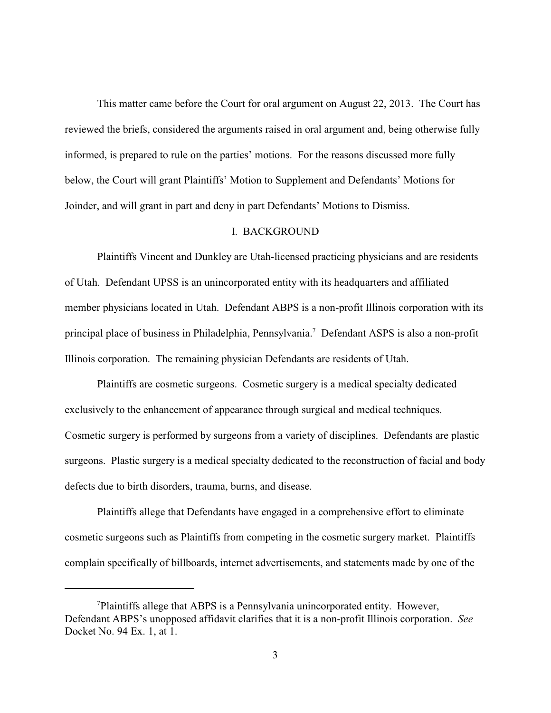This matter came before the Court for oral argument on August 22, 2013. The Court has reviewed the briefs, considered the arguments raised in oral argument and, being otherwise fully informed, is prepared to rule on the parties' motions. For the reasons discussed more fully below, the Court will grant Plaintiffs' Motion to Supplement and Defendants' Motions for Joinder, and will grant in part and deny in part Defendants' Motions to Dismiss.

#### I. BACKGROUND

Plaintiffs Vincent and Dunkley are Utah-licensed practicing physicians and are residents of Utah. Defendant UPSS is an unincorporated entity with its headquarters and affiliated member physicians located in Utah. Defendant ABPS is a non-profit Illinois corporation with its principal place of business in Philadelphia, Pennsylvania.<sup>7</sup> Defendant ASPS is also a non-profit Illinois corporation. The remaining physician Defendants are residents of Utah.

Plaintiffs are cosmetic surgeons. Cosmetic surgery is a medical specialty dedicated exclusively to the enhancement of appearance through surgical and medical techniques. Cosmetic surgery is performed by surgeons from a variety of disciplines. Defendants are plastic surgeons. Plastic surgery is a medical specialty dedicated to the reconstruction of facial and body defects due to birth disorders, trauma, burns, and disease.

Plaintiffs allege that Defendants have engaged in a comprehensive effort to eliminate cosmetic surgeons such as Plaintiffs from competing in the cosmetic surgery market. Plaintiffs complain specifically of billboards, internet advertisements, and statements made by one of the

<sup>&</sup>lt;sup>7</sup>Plaintiffs allege that ABPS is a Pennsylvania unincorporated entity. However, Defendant ABPS's unopposed affidavit clarifies that it is a non-profit Illinois corporation. *See* Docket No. 94 Ex. 1, at 1.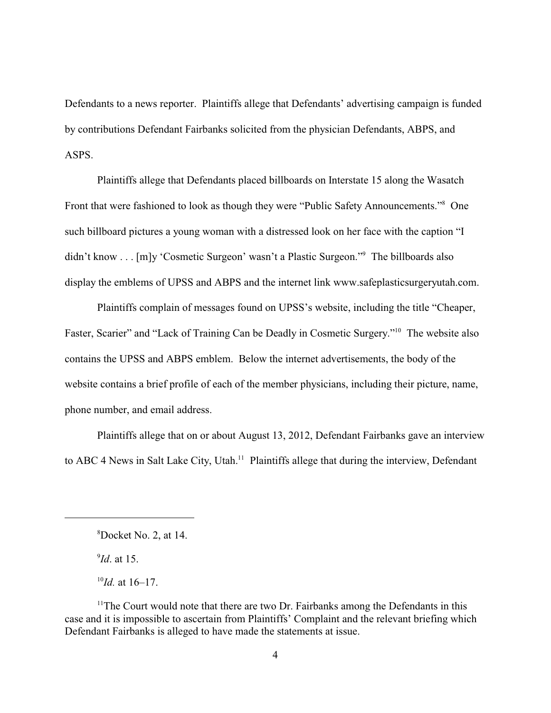Defendants to a news reporter. Plaintiffs allege that Defendants' advertising campaign is funded by contributions Defendant Fairbanks solicited from the physician Defendants, ABPS, and ASPS.

Plaintiffs allege that Defendants placed billboards on Interstate 15 along the Wasatch Front that were fashioned to look as though they were "Public Safety Announcements."<sup>8</sup> One such billboard pictures a young woman with a distressed look on her face with the caption "I didn't know . . . [m]y 'Cosmetic Surgeon' wasn't a Plastic Surgeon."<sup>9</sup> The billboards also display the emblems of UPSS and ABPS and the internet link www.safeplasticsurgeryutah.com.

Plaintiffs complain of messages found on UPSS's website, including the title "Cheaper, Faster, Scarier" and "Lack of Training Can be Deadly in Cosmetic Surgery."<sup>10</sup> The website also contains the UPSS and ABPS emblem. Below the internet advertisements, the body of the website contains a brief profile of each of the member physicians, including their picture, name, phone number, and email address.

Plaintiffs allege that on or about August 13, 2012, Defendant Fairbanks gave an interview to ABC 4 News in Salt Lake City, Utah.<sup>11</sup> Plaintiffs allege that during the interview, Defendant

 $^{9}$ *Id*. at 15.

 ${}^{8}$ Docket No. 2, at 14.

 $^{10}$ *Id.* at 16–17.

 $11$ <sup>The Court would note that there are two Dr. Fairbanks among the Defendants in this 11</sup> case and it is impossible to ascertain from Plaintiffs' Complaint and the relevant briefing which Defendant Fairbanks is alleged to have made the statements at issue.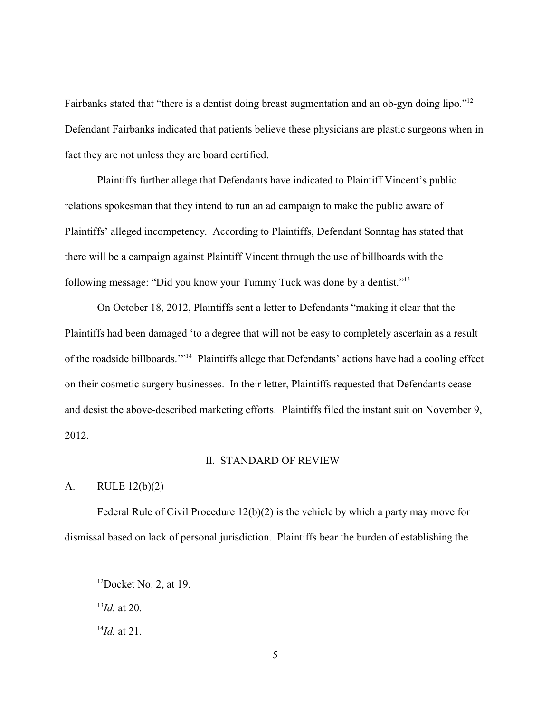Fairbanks stated that "there is a dentist doing breast augmentation and an ob-gyn doing lipo."<sup>12</sup> Defendant Fairbanks indicated that patients believe these physicians are plastic surgeons when in fact they are not unless they are board certified.

Plaintiffs further allege that Defendants have indicated to Plaintiff Vincent's public relations spokesman that they intend to run an ad campaign to make the public aware of Plaintiffs' alleged incompetency. According to Plaintiffs, Defendant Sonntag has stated that there will be a campaign against Plaintiff Vincent through the use of billboards with the following message: "Did you know your Tummy Tuck was done by a dentist."<sup>13</sup>

On October 18, 2012, Plaintiffs sent a letter to Defendants "making it clear that the Plaintiffs had been damaged 'to a degree that will not be easy to completely ascertain as a result of the roadside billboards.'"<sup>14</sup> Plaintiffs allege that Defendants' actions have had a cooling effect on their cosmetic surgery businesses. In their letter, Plaintiffs requested that Defendants cease and desist the above-described marketing efforts. Plaintiffs filed the instant suit on November 9, 2012.

## II. STANDARD OF REVIEW

# A. RULE 12(b)(2)

Federal Rule of Civil Procedure 12(b)(2) is the vehicle by which a party may move for dismissal based on lack of personal jurisdiction. Plaintiffs bear the burden of establishing the

 $^{13}$ *Id.* at 20.

 $12$ Docket No. 2, at 19.

 $^{14}$ *Id.* at 21.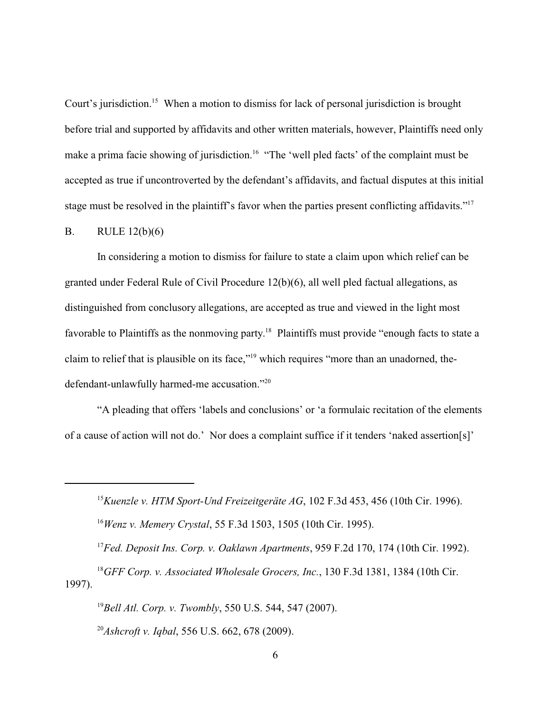Court's jurisdiction.<sup>15</sup> When a motion to dismiss for lack of personal jurisdiction is brought before trial and supported by affidavits and other written materials, however, Plaintiffs need only make a prima facie showing of jurisdiction.<sup>16</sup> "The 'well pled facts' of the complaint must be accepted as true if uncontroverted by the defendant's affidavits, and factual disputes at this initial stage must be resolved in the plaintiff's favor when the parties present conflicting affidavits."<sup>17</sup>

#### B. RULE 12(b)(6)

In considering a motion to dismiss for failure to state a claim upon which relief can be granted under Federal Rule of Civil Procedure 12(b)(6), all well pled factual allegations, as distinguished from conclusory allegations, are accepted as true and viewed in the light most favorable to Plaintiffs as the nonmoving party.<sup>18</sup> Plaintiffs must provide "enough facts to state a claim to relief that is plausible on its face,"<sup>19</sup> which requires "more than an unadorned, thedefendant-unlawfully harmed-me accusation."<sup>20</sup>

"A pleading that offers 'labels and conclusions' or 'a formulaic recitation of the elements of a cause of action will not do.' Nor does a complaint suffice if it tenders 'naked assertion[s]'

<sup>15</sup> Kuenzle v. HTM Sport-Und Freizeitgeräte AG, 102 F.3d 453, 456 (10th Cir. 1996). <sup>16</sup> Wenz v. Memery Crystal, 55 F.3d 1503, 1505 (10th Cir. 1995).

<sup>17</sup> Fed. Deposit Ins. Corp. v. Oaklawn Apartments, 959 F.2d 170, 174 (10th Cir. 1992). <sup>18</sup>GFF Corp. v. Associated Wholesale Grocers, Inc., 130 F.3d 1381, 1384 (10th Cir. 1997).

<sup>19</sup>Bell Atl. Corp. v. Twombly, 550 U.S. 544, 547 (2007). <sup>20</sup>*Ashcroft v. Iqbal*, 556 U.S. 662, 678 (2009).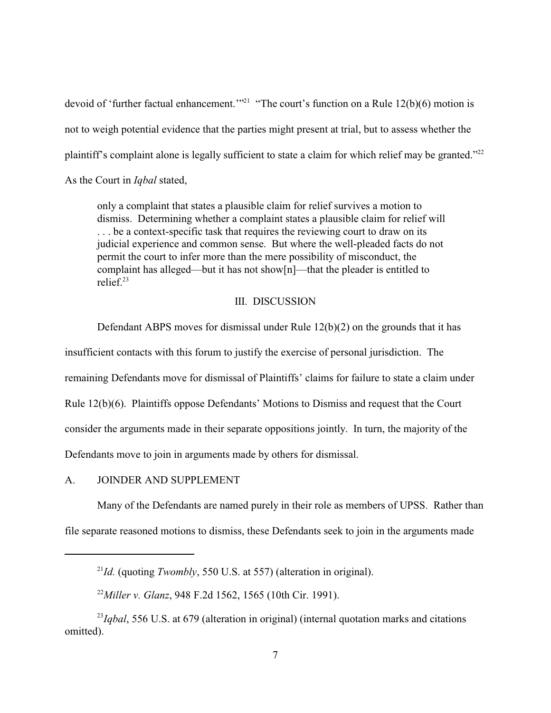devoid of 'further factual enhancement.'"<sup>21</sup> "The court's function on a Rule  $12(b)(6)$  motion is not to weigh potential evidence that the parties might present at trial, but to assess whether the plaintiff's complaint alone is legally sufficient to state a claim for which relief may be granted."<sup>22</sup> As the Court in *Iqbal* stated,

only a complaint that states a plausible claim for relief survives a motion to dismiss. Determining whether a complaint states a plausible claim for relief will . . . be a context-specific task that requires the reviewing court to draw on its judicial experience and common sense. But where the well-pleaded facts do not permit the court to infer more than the mere possibility of misconduct, the complaint has alleged—but it has not show[n]—that the pleader is entitled to relief<sup>23</sup>

#### III. DISCUSSION

Defendant ABPS moves for dismissal under Rule 12(b)(2) on the grounds that it has insufficient contacts with this forum to justify the exercise of personal jurisdiction. The remaining Defendants move for dismissal of Plaintiffs' claims for failure to state a claim under Rule 12(b)(6). Plaintiffs oppose Defendants' Motions to Dismiss and request that the Court consider the arguments made in their separate oppositions jointly. In turn, the majority of the Defendants move to join in arguments made by others for dismissal.

A. JOINDER AND SUPPLEMENT

Many of the Defendants are named purely in their role as members of UPSS. Rather than file separate reasoned motions to dismiss, these Defendants seek to join in the arguments made

 $I^2Id$ . (quoting *Twombly*, 550 U.S. at 557) (alteration in original).

<sup>&</sup>lt;sup>22</sup>Miller v. Glanz, 948 F.2d 1562, 1565 (10th Cir. 1991).

 $\mu$ <sup>23</sup>*Iqbal*, 556 U.S. at 679 (alteration in original) (internal quotation marks and citations omitted).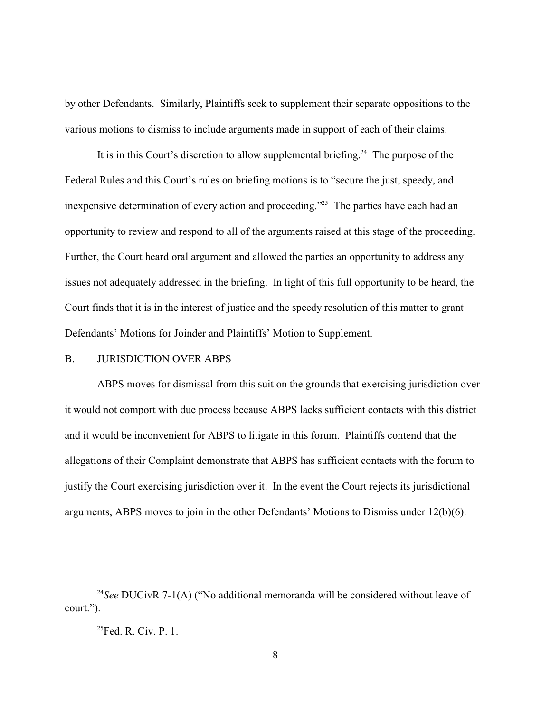by other Defendants. Similarly, Plaintiffs seek to supplement their separate oppositions to the various motions to dismiss to include arguments made in support of each of their claims.

It is in this Court's discretion to allow supplemental briefing.<sup>24</sup> The purpose of the Federal Rules and this Court's rules on briefing motions is to "secure the just, speedy, and inexpensive determination of every action and proceeding."<sup>25</sup> The parties have each had an opportunity to review and respond to all of the arguments raised at this stage of the proceeding. Further, the Court heard oral argument and allowed the parties an opportunity to address any issues not adequately addressed in the briefing. In light of this full opportunity to be heard, the Court finds that it is in the interest of justice and the speedy resolution of this matter to grant Defendants' Motions for Joinder and Plaintiffs' Motion to Supplement.

#### B. JURISDICTION OVER ABPS

ABPS moves for dismissal from this suit on the grounds that exercising jurisdiction over it would not comport with due process because ABPS lacks sufficient contacts with this district and it would be inconvenient for ABPS to litigate in this forum. Plaintiffs contend that the allegations of their Complaint demonstrate that ABPS has sufficient contacts with the forum to justify the Court exercising jurisdiction over it. In the event the Court rejects its jurisdictional arguments, ABPS moves to join in the other Defendants' Motions to Dismiss under 12(b)(6).

<sup>&</sup>lt;sup>24</sup>See DUCivR 7-1(A) ("No additional memoranda will be considered without leave of court.").

 $^{25}$ Fed. R. Civ. P. 1.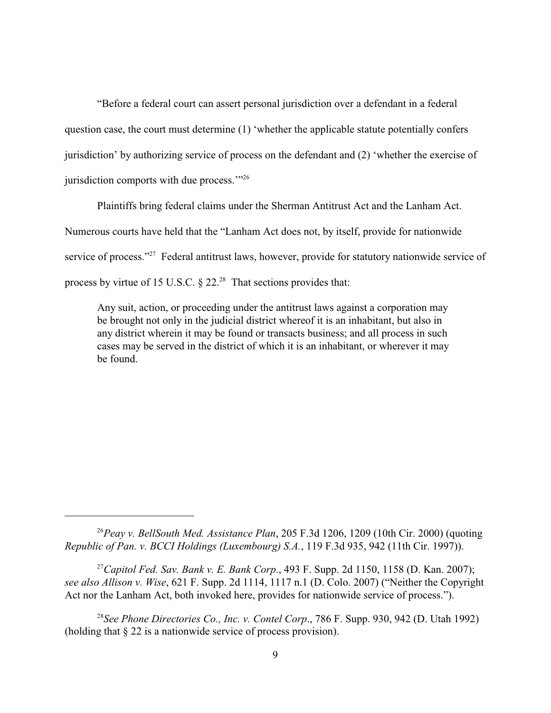"Before a federal court can assert personal jurisdiction over a defendant in a federal question case, the court must determine (1) 'whether the applicable statute potentially confers jurisdiction' by authorizing service of process on the defendant and (2) 'whether the exercise of jurisdiction comports with due process."<sup>26</sup>

Plaintiffs bring federal claims under the Sherman Antitrust Act and the Lanham Act. Numerous courts have held that the "Lanham Act does not, by itself, provide for nationwide service of process."<sup>27</sup> Federal antitrust laws, however, provide for statutory nationwide service of process by virtue of 15 U.S.C.  $\S 22.^{28}$  That sections provides that:

Any suit, action, or proceeding under the antitrust laws against a corporation may be brought not only in the judicial district whereof it is an inhabitant, but also in any district wherein it may be found or transacts business; and all process in such cases may be served in the district of which it is an inhabitant, or wherever it may be found.

<sup>26</sup>Peay v. BellSouth Med. Assistance Plan, 205 F.3d 1206, 1209 (10th Cir. 2000) (quoting *Republic of Pan. v. BCCI Holdings (Luxembourg) S.A.*, 119 F.3d 935, 942 (11th Cir. 1997)).

<sup>27</sup> Capitol Fed. Sav. Bank v. E. Bank Corp., 493 F. Supp. 2d 1150, 1158 (D. Kan. 2007); *see also Allison v. Wise*, 621 F. Supp. 2d 1114, 1117 n.1 (D. Colo. 2007) ("Neither the Copyright Act nor the Lanham Act, both invoked here, provides for nationwide service of process.").

<sup>28</sup> See Phone Directories Co., Inc. v. Contel Corp., 786 F. Supp. 930, 942 (D. Utah 1992) (holding that § 22 is a nationwide service of process provision).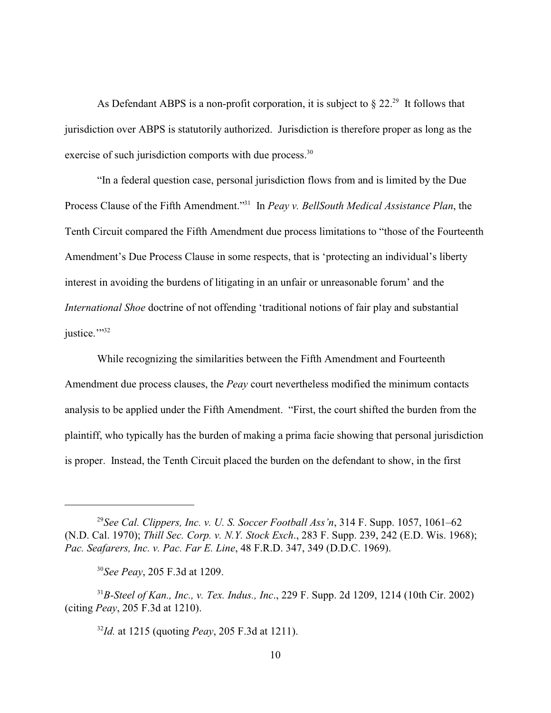As Defendant ABPS is a non-profit corporation, it is subject to  $\S 22$ <sup>29</sup>. It follows that jurisdiction over ABPS is statutorily authorized. Jurisdiction is therefore proper as long as the exercise of such jurisdiction comports with due process.<sup>30</sup>

"In a federal question case, personal jurisdiction flows from and is limited by the Due Process Clause of the Fifth Amendment."<sup>31</sup> In *Peay v. BellSouth Medical Assistance Plan*, the Tenth Circuit compared the Fifth Amendment due process limitations to "those of the Fourteenth Amendment's Due Process Clause in some respects, that is 'protecting an individual's liberty interest in avoiding the burdens of litigating in an unfair or unreasonable forum' and the *International Shoe* doctrine of not offending 'traditional notions of fair play and substantial justice.""<sup>32</sup>

While recognizing the similarities between the Fifth Amendment and Fourteenth Amendment due process clauses, the *Peay* court nevertheless modified the minimum contacts analysis to be applied under the Fifth Amendment. "First, the court shifted the burden from the plaintiff, who typically has the burden of making a prima facie showing that personal jurisdiction is proper. Instead, the Tenth Circuit placed the burden on the defendant to show, in the first

 $I^{32}Id$ , at 1215 (quoting *Peay*, 205 F.3d at 1211).

<sup>&</sup>lt;sup>29</sup> See Cal. Clippers, Inc. v. U. S. Soccer Football Ass'n, 314 F. Supp. 1057, 1061–62 (N.D. Cal. 1970); *Thill Sec. Corp. v. N.Y. Stock Exch*., 283 F. Supp. 239, 242 (E.D. Wis. 1968); *Pac. Seafarers, Inc. v. Pac. Far E. Line*, 48 F.R.D. 347, 349 (D.D.C. 1969).

<sup>&</sup>lt;sup>30</sup>See Peay, 205 F.3d at 1209.

*B-Steel of Kan., Inc., v. Tex. Indus., Inc*., 229 F. Supp. 2d 1209, 1214 (10th Cir. 2002) <sup>31</sup> (citing *Peay*, 205 F.3d at 1210).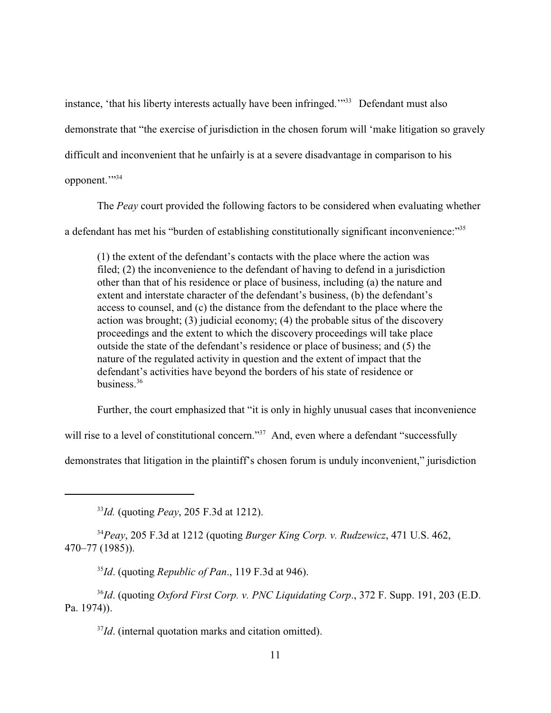instance, 'that his liberty interests actually have been infringed.'"<sup>33</sup> Defendant must also demonstrate that "the exercise of jurisdiction in the chosen forum will 'make litigation so gravely difficult and inconvenient that he unfairly is at a severe disadvantage in comparison to his opponent."

The *Peay* court provided the following factors to be considered when evaluating whether a defendant has met his "burden of establishing constitutionally significant inconvenience:"<sup>35</sup>

(1) the extent of the defendant's contacts with the place where the action was filed; (2) the inconvenience to the defendant of having to defend in a jurisdiction other than that of his residence or place of business, including (a) the nature and extent and interstate character of the defendant's business, (b) the defendant's access to counsel, and (c) the distance from the defendant to the place where the action was brought; (3) judicial economy; (4) the probable situs of the discovery proceedings and the extent to which the discovery proceedings will take place outside the state of the defendant's residence or place of business; and (5) the nature of the regulated activity in question and the extent of impact that the defendant's activities have beyond the borders of his state of residence or business  $36$ 

Further, the court emphasized that "it is only in highly unusual cases that inconvenience

will rise to a level of constitutional concern."<sup>37</sup> And, even where a defendant "successfully

demonstrates that litigation in the plaintiff's chosen forum is unduly inconvenient," jurisdiction

<sup>33</sup>*Id.* (quoting *Peay*, 205 F.3d at 1212).

*Peay*, 205 F.3d at 1212 (quoting *Burger King Corp. v. Rudzewicz*, 471 U.S. 462, <sup>34</sup> 470–77 (1985)).

 $^{35}$ Id. (quoting *Republic of Pan*., 119 F.3d at 946).

<sup>36</sup>Id. (quoting *Oxford First Corp. v. PNC Liquidating Corp.*, 372 F. Supp. 191, 203 (E.D. Pa. 1974)).

 $I/d$ . (internal quotation marks and citation omitted).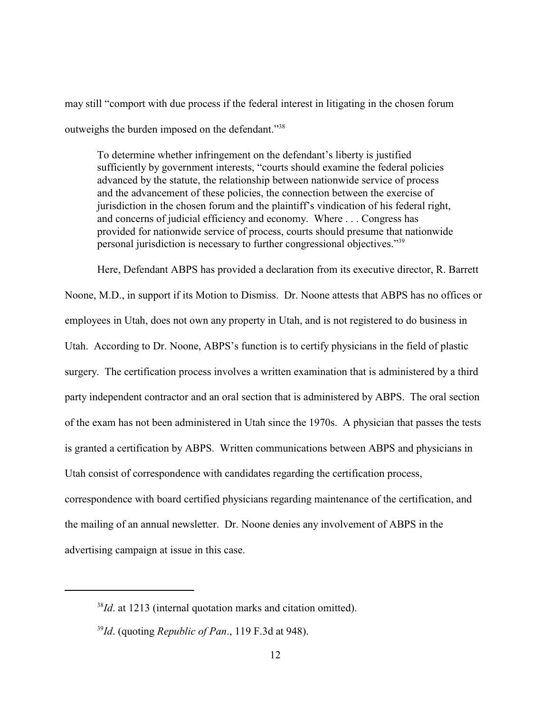may still "comport with due process if the federal interest in litigating in the chosen forum outweighs the burden imposed on the defendant."<sup>38</sup>

To determine whether infringement on the defendant's liberty is justified sufficiently by government interests, "courts should examine the federal policies advanced by the statute, the relationship between nationwide service of process and the advancement of these policies, the connection between the exercise of jurisdiction in the chosen forum and the plaintiff's vindication of his federal right, and concerns of judicial efficiency and economy. Where . . . Congress has provided for nationwide service of process, courts should presume that nationwide personal jurisdiction is necessary to further congressional objectives."<sup>39</sup>

Here, Defendant ABPS has provided a declaration from its executive director, R. Barrett

Noone, M.D., in support if its Motion to Dismiss. Dr. Noone attests that ABPS has no offices or employees in Utah, does not own any property in Utah, and is not registered to do business in Utah. According to Dr. Noone, ABPS's function is to certify physicians in the field of plastic surgery. The certification process involves a written examination that is administered by a third party independent contractor and an oral section that is administered by ABPS. The oral section of the exam has not been administered in Utah since the 1970s. A physician that passes the tests is granted a certification by ABPS. Written communications between ABPS and physicians in Utah consist of correspondence with candidates regarding the certification process, correspondence with board certified physicians regarding maintenance of the certification, and the mailing of an annual newsletter. Dr. Noone denies any involvement of ABPS in the advertising campaign at issue in this case.

 $I<sup>38</sup>Id$ . at 1213 (internal quotation marks and citation omitted).

 $I<sup>39</sup>Id$ . (quoting *Republic of Pan*., 119 F.3d at 948).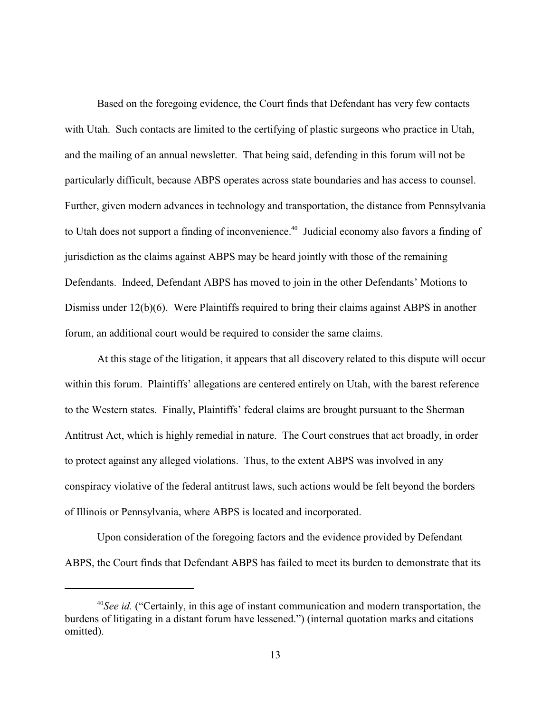Based on the foregoing evidence, the Court finds that Defendant has very few contacts with Utah. Such contacts are limited to the certifying of plastic surgeons who practice in Utah, and the mailing of an annual newsletter. That being said, defending in this forum will not be particularly difficult, because ABPS operates across state boundaries and has access to counsel. Further, given modern advances in technology and transportation, the distance from Pennsylvania to Utah does not support a finding of inconvenience.<sup>40</sup> Judicial economy also favors a finding of jurisdiction as the claims against ABPS may be heard jointly with those of the remaining Defendants. Indeed, Defendant ABPS has moved to join in the other Defendants' Motions to Dismiss under 12(b)(6). Were Plaintiffs required to bring their claims against ABPS in another forum, an additional court would be required to consider the same claims.

At this stage of the litigation, it appears that all discovery related to this dispute will occur within this forum. Plaintiffs' allegations are centered entirely on Utah, with the barest reference to the Western states. Finally, Plaintiffs' federal claims are brought pursuant to the Sherman Antitrust Act, which is highly remedial in nature. The Court construes that act broadly, in order to protect against any alleged violations. Thus, to the extent ABPS was involved in any conspiracy violative of the federal antitrust laws, such actions would be felt beyond the borders of Illinois or Pennsylvania, where ABPS is located and incorporated.

Upon consideration of the foregoing factors and the evidence provided by Defendant ABPS, the Court finds that Defendant ABPS has failed to meet its burden to demonstrate that its

 $^{40}$ *See id.* ("Certainly, in this age of instant communication and modern transportation, the burdens of litigating in a distant forum have lessened.") (internal quotation marks and citations omitted).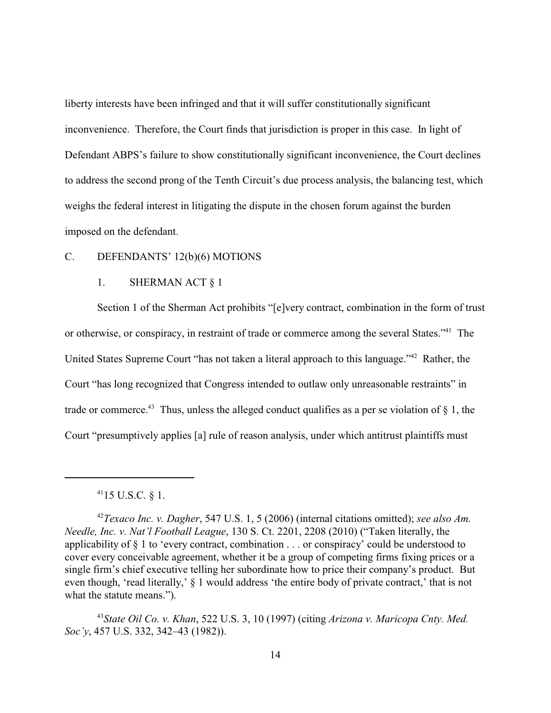liberty interests have been infringed and that it will suffer constitutionally significant inconvenience. Therefore, the Court finds that jurisdiction is proper in this case. In light of Defendant ABPS's failure to show constitutionally significant inconvenience, the Court declines to address the second prong of the Tenth Circuit's due process analysis, the balancing test, which weighs the federal interest in litigating the dispute in the chosen forum against the burden imposed on the defendant.

### C. DEFENDANTS' 12(b)(6) MOTIONS

# 1. SHERMAN ACT § 1

Section 1 of the Sherman Act prohibits "[e]very contract, combination in the form of trust or otherwise, or conspiracy, in restraint of trade or commerce among the several States."<sup>41</sup> The United States Supreme Court "has not taken a literal approach to this language."<sup>42</sup> Rather, the Court "has long recognized that Congress intended to outlaw only unreasonable restraints" in trade or commerce.<sup>43</sup> Thus, unless the alleged conduct qualifies as a per se violation of  $\S$  1, the Court "presumptively applies [a] rule of reason analysis, under which antitrust plaintiffs must

 $^{41}$ 15 U.S.C. § 1.

<sup>&</sup>lt;sup>42</sup> Texaco Inc. v. Dagher, 547 U.S. 1, 5 (2006) (internal citations omitted); *see also Am. Needle, Inc. v. Nat'l Football League*, 130 S. Ct. 2201, 2208 (2010) ("Taken literally, the applicability of § 1 to 'every contract, combination . . . or conspiracy' could be understood to cover every conceivable agreement, whether it be a group of competing firms fixing prices or a single firm's chief executive telling her subordinate how to price their company's product. But even though, 'read literally,' § 1 would address 'the entire body of private contract,' that is not what the statute means.").

<sup>&</sup>lt;sup>43</sup> State Oil Co. v. Khan, 522 U.S. 3, 10 (1997) (citing *Arizona v. Maricopa Cnty. Med. Soc'y*, 457 U.S. 332, 342–43 (1982)).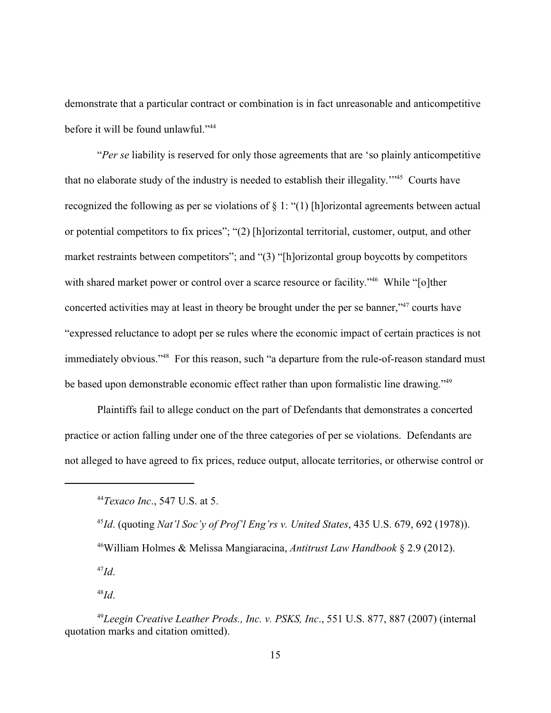demonstrate that a particular contract or combination is in fact unreasonable and anticompetitive before it will be found unlawful."<sup>44</sup>

"*Per se* liability is reserved for only those agreements that are 'so plainly anticompetitive that no elaborate study of the industry is needed to establish their illegality."<sup>45</sup> Courts have recognized the following as per se violations of § 1: "(1) [h]orizontal agreements between actual or potential competitors to fix prices"; "(2) [h]orizontal territorial, customer, output, and other market restraints between competitors"; and "(3) "[h]orizontal group boycotts by competitors with shared market power or control over a scarce resource or facility."<sup>46</sup> While "[o]ther concerted activities may at least in theory be brought under the per se banner,"<sup>47</sup> courts have "expressed reluctance to adopt per se rules where the economic impact of certain practices is not immediately obvious."<sup>48</sup> For this reason, such "a departure from the rule-of-reason standard must be based upon demonstrable economic effect rather than upon formalistic line drawing."<sup>49</sup>

Plaintiffs fail to allege conduct on the part of Defendants that demonstrates a concerted practice or action falling under one of the three categories of per se violations. Defendants are not alleged to have agreed to fix prices, reduce output, allocate territories, or otherwise control or

<sup>45</sup>Id. (quoting *Nat'l Soc'y of Prof'l Eng'rs v. United States*, 435 U.S. 679, 692 (1978)). William Holmes & Melissa Mangiaracina, *Antitrust Law Handbook* § 2.9 (2012). <sup>46</sup>

 $^{47}Id.$ 

<sup>48</sup>*Id*.

*Texaco Inc*., 547 U.S. at 5. <sup>44</sup>

<sup>&</sup>lt;sup>49</sup> Leegin Creative Leather Prods., Inc. v. PSKS, Inc., 551 U.S. 877, 887 (2007) (internal quotation marks and citation omitted).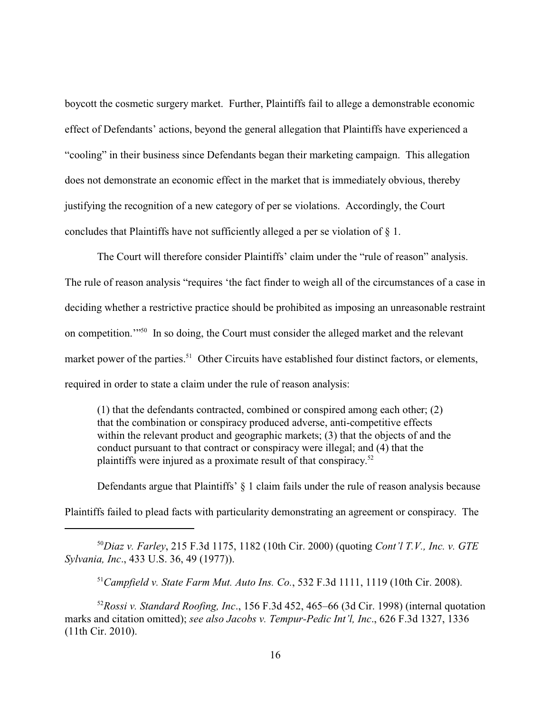boycott the cosmetic surgery market. Further, Plaintiffs fail to allege a demonstrable economic effect of Defendants' actions, beyond the general allegation that Plaintiffs have experienced a "cooling" in their business since Defendants began their marketing campaign. This allegation does not demonstrate an economic effect in the market that is immediately obvious, thereby justifying the recognition of a new category of per se violations. Accordingly, the Court concludes that Plaintiffs have not sufficiently alleged a per se violation of § 1.

The Court will therefore consider Plaintiffs' claim under the "rule of reason" analysis. The rule of reason analysis "requires 'the fact finder to weigh all of the circumstances of a case in deciding whether a restrictive practice should be prohibited as imposing an unreasonable restraint on competition."<sup>50</sup> In so doing, the Court must consider the alleged market and the relevant market power of the parties.<sup>51</sup> Other Circuits have established four distinct factors, or elements, required in order to state a claim under the rule of reason analysis:

(1) that the defendants contracted, combined or conspired among each other; (2) that the combination or conspiracy produced adverse, anti-competitive effects within the relevant product and geographic markets; (3) that the objects of and the conduct pursuant to that contract or conspiracy were illegal; and (4) that the plaintiffs were injured as a proximate result of that conspiracy.<sup>52</sup>

Defendants argue that Plaintiffs'  $\S$  1 claim fails under the rule of reason analysis because Plaintiffs failed to plead facts with particularity demonstrating an agreement or conspiracy. The

 $^{51}$ Campfield v. State Farm Mut. Auto Ins. Co., 532 F.3d 1111, 1119 (10th Cir. 2008).

<sup>52</sup>Rossi v. Standard Roofing, Inc., 156 F.3d 452, 465–66 (3d Cir. 1998) (internal quotation marks and citation omitted); *see also Jacobs v. Tempur-Pedic Int'l, Inc*., 626 F.3d 1327, 1336 (11th Cir. 2010).

<sup>&</sup>lt;sup>50</sup>Diaz v. Farley, 215 F.3d 1175, 1182 (10th Cir. 2000) (quoting *Cont'l T.V., Inc. v. GTE Sylvania, Inc*., 433 U.S. 36, 49 (1977)).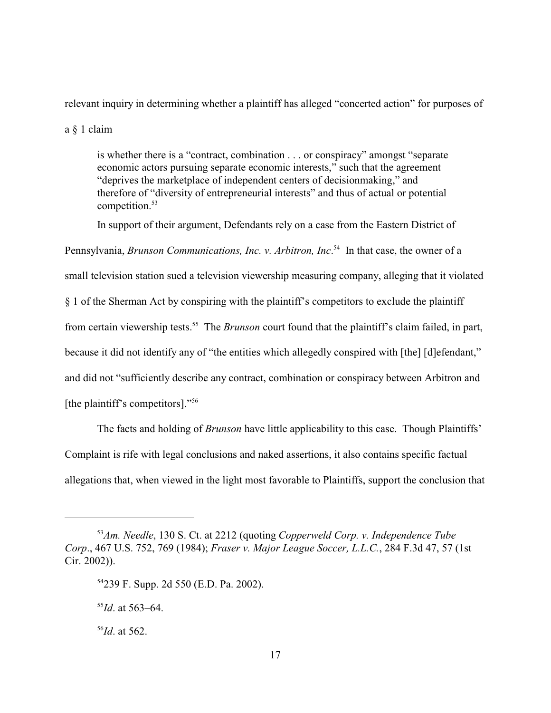relevant inquiry in determining whether a plaintiff has alleged "concerted action" for purposes of

a § 1 claim

is whether there is a "contract, combination . . . or conspiracy" amongst "separate economic actors pursuing separate economic interests," such that the agreement "deprives the marketplace of independent centers of decisionmaking," and therefore of "diversity of entrepreneurial interests" and thus of actual or potential competition. <sup>53</sup>

In support of their argument, Defendants rely on a case from the Eastern District of Pennsylvania, *Brunson Communications, Inc. v. Arbitron, Inc.*<sup>54</sup> In that case, the owner of a small television station sued a television viewership measuring company, alleging that it violated § 1 of the Sherman Act by conspiring with the plaintiff's competitors to exclude the plaintiff from certain viewership tests.<sup>55</sup> The *Brunson* court found that the plaintiff's claim failed, in part, because it did not identify any of "the entities which allegedly conspired with [the] [d]efendant," and did not "sufficiently describe any contract, combination or conspiracy between Arbitron and [the plaintiff's competitors]."<sup>56</sup>

The facts and holding of *Brunson* have little applicability to this case. Though Plaintiffs' Complaint is rife with legal conclusions and naked assertions, it also contains specific factual allegations that, when viewed in the light most favorable to Plaintiffs, support the conclusion that

<sup>&</sup>lt;sup>53</sup>Am. Needle, 130 S. Ct. at 2212 (quoting *Copperweld Corp. v. Independence Tube Corp*., 467 U.S. 752, 769 (1984); *Fraser v. Major League Soccer, L.L.C.*, 284 F.3d 47, 57 (1st Cir. 2002)).

<sup>&</sup>lt;sup>54</sup>239 F. Supp. 2d 550 (E.D. Pa. 2002).

 $^{55}$ *Id*. at 563–64.

 $^{56}$ *Id*. at 562.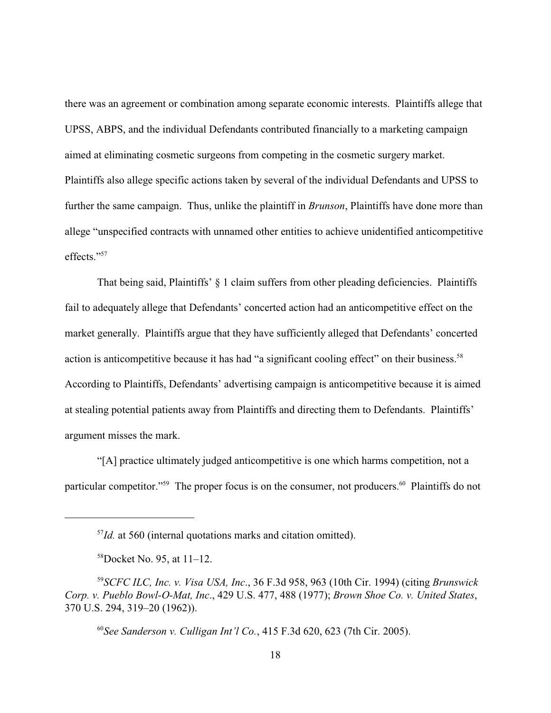there was an agreement or combination among separate economic interests. Plaintiffs allege that UPSS, ABPS, and the individual Defendants contributed financially to a marketing campaign aimed at eliminating cosmetic surgeons from competing in the cosmetic surgery market. Plaintiffs also allege specific actions taken by several of the individual Defendants and UPSS to further the same campaign. Thus, unlike the plaintiff in *Brunson*, Plaintiffs have done more than allege "unspecified contracts with unnamed other entities to achieve unidentified anticompetitive effects."57

That being said, Plaintiffs' § 1 claim suffers from other pleading deficiencies. Plaintiffs fail to adequately allege that Defendants' concerted action had an anticompetitive effect on the market generally. Plaintiffs argue that they have sufficiently alleged that Defendants' concerted action is anticompetitive because it has had "a significant cooling effect" on their business. <sup>58</sup> According to Plaintiffs, Defendants' advertising campaign is anticompetitive because it is aimed at stealing potential patients away from Plaintiffs and directing them to Defendants. Plaintiffs' argument misses the mark.

"[A] practice ultimately judged anticompetitive is one which harms competition, not a particular competitor."<sup>59</sup> The proper focus is on the consumer, not producers.<sup>60</sup> Plaintiffs do not

 $I/d$ . at 560 (internal quotations marks and citation omitted).

 $58$ Docket No. 95, at  $11-12$ .

*SCFC ILC, Inc. v. Visa USA, Inc*., 36 F.3d 958, 963 (10th Cir. 1994) (citing *Brunswick* <sup>59</sup> *Corp. v. Pueblo Bowl-O-Mat, Inc*., 429 U.S. 477, 488 (1977); *Brown Shoe Co. v. United States*, 370 U.S. 294, 319–20 (1962)).

 $^{60}$ See Sanderson v. Culligan Int'l Co., 415 F.3d 620, 623 (7th Cir. 2005).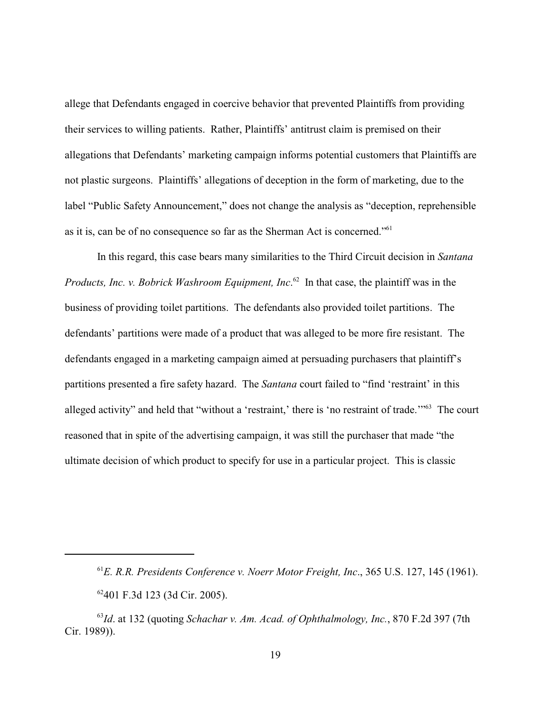allege that Defendants engaged in coercive behavior that prevented Plaintiffs from providing their services to willing patients. Rather, Plaintiffs' antitrust claim is premised on their allegations that Defendants' marketing campaign informs potential customers that Plaintiffs are not plastic surgeons. Plaintiffs' allegations of deception in the form of marketing, due to the label "Public Safety Announcement," does not change the analysis as "deception, reprehensible as it is, can be of no consequence so far as the Sherman Act is concerned."<sup>61</sup>

In this regard, this case bears many similarities to the Third Circuit decision in *Santana Products, Inc. v. Bobrick Washroom Equipment, Inc.*<sup>62</sup> In that case, the plaintiff was in the business of providing toilet partitions. The defendants also provided toilet partitions. The defendants' partitions were made of a product that was alleged to be more fire resistant. The defendants engaged in a marketing campaign aimed at persuading purchasers that plaintiff's partitions presented a fire safety hazard. The *Santana* court failed to "find 'restraint' in this alleged activity" and held that "without a 'restraint,' there is 'no restraint of trade."<sup>63</sup> The court reasoned that in spite of the advertising campaign, it was still the purchaser that made "the ultimate decision of which product to specify for use in a particular project. This is classic

<sup>&</sup>lt;sup>61</sup>E. R.R. Presidents Conference v. Noerr Motor Freight, Inc., 365 U.S. 127, 145 (1961).

<sup>62401</sup> F.3d 123 (3d Cir. 2005).

<sup>&</sup>lt;sup>63</sup>Id. at 132 (quoting *Schachar v. Am. Acad. of Ophthalmology, Inc.*, 870 F.2d 397 (7th Cir. 1989)).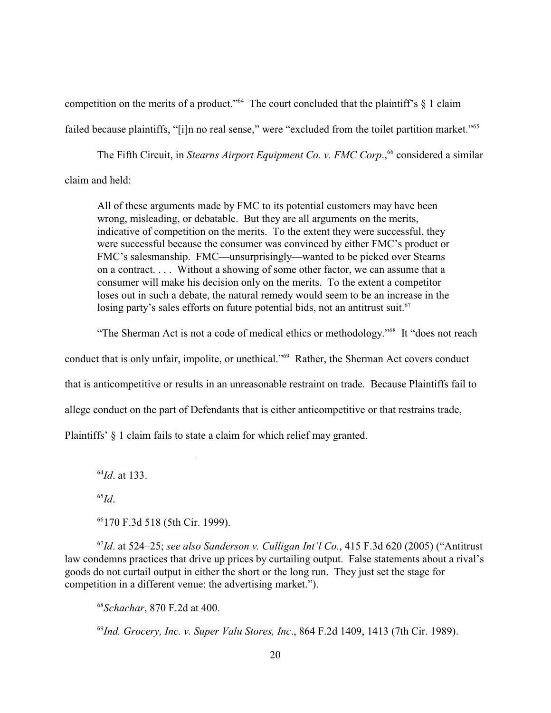competition on the merits of a product." The court concluded that the plaintiff's  $\S$  1 claim

failed because plaintiffs, "[i]n no real sense," were "excluded from the toilet partition market." <sup>65</sup>

The Fifth Circuit, in *Stearns Airport Equipment Co. v. FMC Corp*.,<sup>66</sup> considered a similar

claim and held:

All of these arguments made by FMC to its potential customers may have been wrong, misleading, or debatable. But they are all arguments on the merits, indicative of competition on the merits. To the extent they were successful, they were successful because the consumer was convinced by either FMC's product or FMC's salesmanship. FMC—unsurprisingly—wanted to be picked over Stearns on a contract. . . . Without a showing of some other factor, we can assume that a consumer will make his decision only on the merits. To the extent a competitor loses out in such a debate, the natural remedy would seem to be an increase in the losing party's sales efforts on future potential bids, not an antitrust suit. $67$ 

"The Sherman Act is not a code of medical ethics or methodology."<sup>68</sup> It "does not reach

conduct that is only unfair, impolite, or unethical."<sup>69</sup> Rather, the Sherman Act covers conduct

that is anticompetitive or results in an unreasonable restraint on trade. Because Plaintiffs fail to

allege conduct on the part of Defendants that is either anticompetitive or that restrains trade,

Plaintiffs' § 1 claim fails to state a claim for which relief may granted.

 $^{64}$ *Id*. at 133.

 $^{65}Id.$ 

66170 F.3d 518 (5th Cir. 1999).

 $^{67}$ Id. at 524–25; *see also Sanderson v. Culligan Int'l Co.*, 415 F.3d 620 (2005) ("Antitrust law condemns practices that drive up prices by curtailing output. False statements about a rival's goods do not curtail output in either the short or the long run. They just set the stage for competition in a different venue: the advertising market.").

<sup>68</sup> Schachar, 870 F.2d at 400.

<sup>69</sup> Ind. Grocery, Inc. v. Super Valu Stores, Inc., 864 F.2d 1409, 1413 (7th Cir. 1989).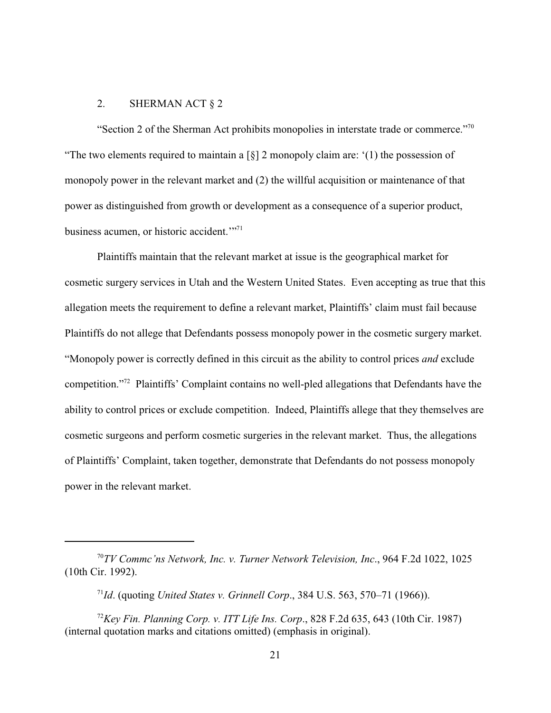# 2. SHERMAN ACT § 2

"Section 2 of the Sherman Act prohibits monopolies in interstate trade or commerce."<sup>70</sup> "The two elements required to maintain a  $\lceil \xi \rceil$  2 monopoly claim are: '(1) the possession of monopoly power in the relevant market and (2) the willful acquisition or maintenance of that power as distinguished from growth or development as a consequence of a superior product, business acumen, or historic accident."<sup>71</sup>

Plaintiffs maintain that the relevant market at issue is the geographical market for cosmetic surgery services in Utah and the Western United States. Even accepting as true that this allegation meets the requirement to define a relevant market, Plaintiffs' claim must fail because Plaintiffs do not allege that Defendants possess monopoly power in the cosmetic surgery market. "Monopoly power is correctly defined in this circuit as the ability to control prices *and* exclude competition."<sup>72</sup> Plaintiffs' Complaint contains no well-pled allegations that Defendants have the ability to control prices or exclude competition. Indeed, Plaintiffs allege that they themselves are cosmetic surgeons and perform cosmetic surgeries in the relevant market. Thus, the allegations of Plaintiffs' Complaint, taken together, demonstrate that Defendants do not possess monopoly power in the relevant market.

<sup>&</sup>lt;sup>70</sup>TV Commc'ns Network, Inc. v. Turner Network Television, Inc., 964 F.2d 1022, 1025 (10th Cir. 1992).

<sup>&</sup>lt;sup>71</sup>*Id.* (quoting *United States v. Grinnell Corp.*, 384 U.S. 563, 570–71 (1966)).

<sup>&</sup>lt;sup>72</sup>Key Fin. Planning Corp. v. ITT Life Ins. Corp., 828 F.2d 635, 643 (10th Cir. 1987) (internal quotation marks and citations omitted) (emphasis in original).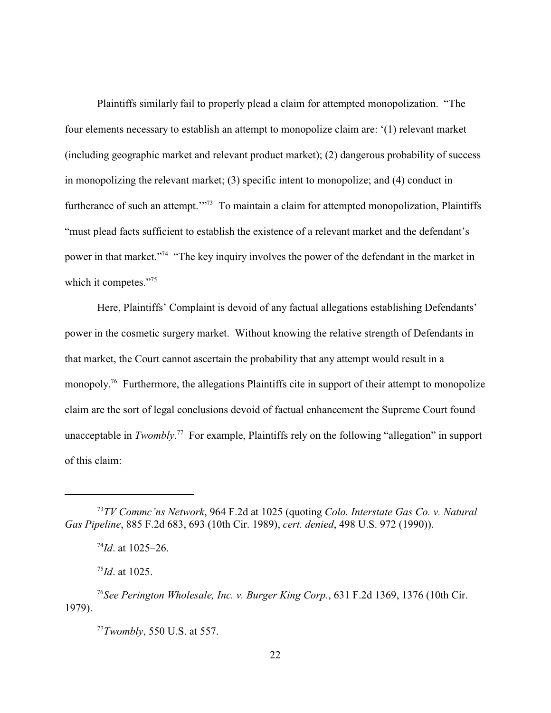Plaintiffs similarly fail to properly plead a claim for attempted monopolization. "The four elements necessary to establish an attempt to monopolize claim are: '(1) relevant market (including geographic market and relevant product market); (2) dangerous probability of success in monopolizing the relevant market; (3) specific intent to monopolize; and (4) conduct in furtherance of such an attempt."<sup>37</sup> To maintain a claim for attempted monopolization, Plaintiffs "must plead facts sufficient to establish the existence of a relevant market and the defendant's power in that market."<sup>74</sup> "The key inquiry involves the power of the defendant in the market in which it competes."<sup>75</sup>

Here, Plaintiffs' Complaint is devoid of any factual allegations establishing Defendants' power in the cosmetic surgery market. Without knowing the relative strength of Defendants in that market, the Court cannot ascertain the probability that any attempt would result in a monopoly.<sup>76</sup> Furthermore, the allegations Plaintiffs cite in support of their attempt to monopolize claim are the sort of legal conclusions devoid of factual enhancement the Supreme Court found unacceptable in *Twombly*.<sup>77</sup> For example, Plaintiffs rely on the following "allegation" in support of this claim:

*TV Commc'ns Network*, 964 F.2d at 1025 (quoting *Colo. Interstate Gas Co. v. Natural* <sup>73</sup> *Gas Pipeline*, 885 F.2d 683, 693 (10th Cir. 1989), *cert. denied*, 498 U.S. 972 (1990)).

 $^{74}$ *Id.* at 1025–26.

 $^{75}$ *Id.* at 1025.

<sup>&</sup>lt;sup>76</sup> See Perington Wholesale, Inc. v. Burger King Corp., 631 F.2d 1369, 1376 (10th Cir. 1979).

*Twombly*, 550 U.S. at 557. <sup>77</sup>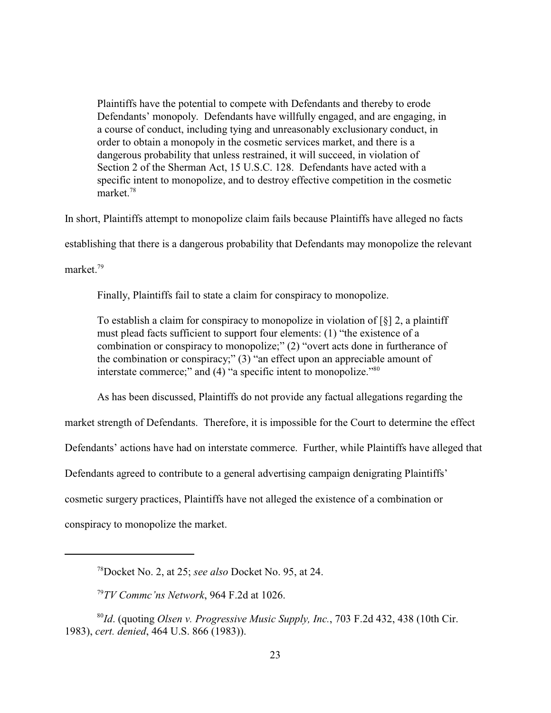Plaintiffs have the potential to compete with Defendants and thereby to erode Defendants' monopoly. Defendants have willfully engaged, and are engaging, in a course of conduct, including tying and unreasonably exclusionary conduct, in order to obtain a monopoly in the cosmetic services market, and there is a dangerous probability that unless restrained, it will succeed, in violation of Section 2 of the Sherman Act, 15 U.S.C. 128. Defendants have acted with a specific intent to monopolize, and to destroy effective competition in the cosmetic market.<sup>78</sup>

In short, Plaintiffs attempt to monopolize claim fails because Plaintiffs have alleged no facts

establishing that there is a dangerous probability that Defendants may monopolize the relevant

market $^{79}$ 

Finally, Plaintiffs fail to state a claim for conspiracy to monopolize.

To establish a claim for conspiracy to monopolize in violation of  $\lceil \S \rceil$  2, a plaintiff must plead facts sufficient to support four elements: (1) "the existence of a combination or conspiracy to monopolize;" (2) "overt acts done in furtherance of the combination or conspiracy;" (3) "an effect upon an appreciable amount of interstate commerce;" and  $(4)$  "a specific intent to monopolize."<sup>80</sup>

As has been discussed, Plaintiffs do not provide any factual allegations regarding the

market strength of Defendants. Therefore, it is impossible for the Court to determine the effect

Defendants' actions have had on interstate commerce. Further, while Plaintiffs have alleged that

Defendants agreed to contribute to a general advertising campaign denigrating Plaintiffs'

cosmetic surgery practices, Plaintiffs have not alleged the existence of a combination or

conspiracy to monopolize the market.

Docket No. 2, at 25; *see also* Docket No. 95, at 24. <sup>78</sup>

*TV Commc'ns Network*, 964 F.2d at 1026. <sup>79</sup>

<sup>&</sup>lt;sup>80</sup>Id. (quoting *Olsen v. Progressive Music Supply, Inc.*, 703 F.2d 432, 438 (10th Cir. 1983), *cert. denied*, 464 U.S. 866 (1983)).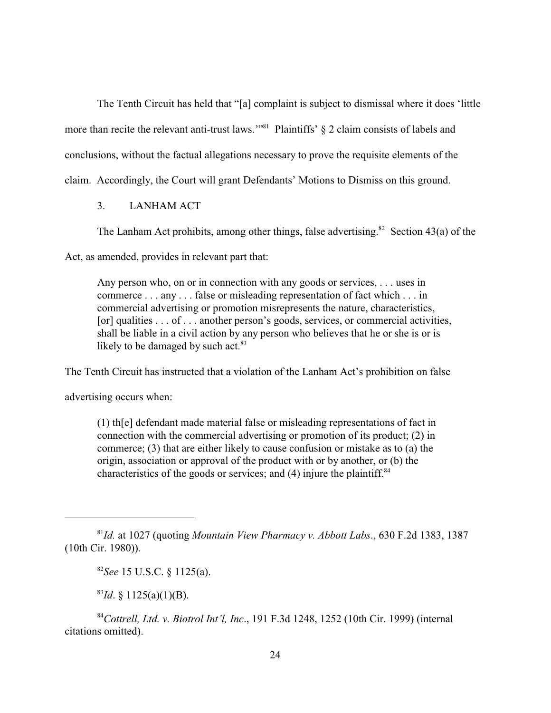The Tenth Circuit has held that "[a] complaint is subject to dismissal where it does 'little more than recite the relevant anti-trust laws."<sup>81</sup> Plaintiffs'  $\S$  2 claim consists of labels and conclusions, without the factual allegations necessary to prove the requisite elements of the claim. Accordingly, the Court will grant Defendants' Motions to Dismiss on this ground.

3. LANHAM ACT

The Lanham Act prohibits, among other things, false advertising.<sup>82</sup> Section 43(a) of the

Act, as amended, provides in relevant part that:

Any person who, on or in connection with any goods or services, . . . uses in commerce . . . any . . . false or misleading representation of fact which . . . in commercial advertising or promotion misrepresents the nature, characteristics, [or] qualities . . . of . . . another person's goods, services, or commercial activities, shall be liable in a civil action by any person who believes that he or she is or is likely to be damaged by such act. $83$ 

The Tenth Circuit has instructed that a violation of the Lanham Act's prohibition on false

advertising occurs when:

(1) th[e] defendant made material false or misleading representations of fact in connection with the commercial advertising or promotion of its product; (2) in commerce; (3) that are either likely to cause confusion or mistake as to (a) the origin, association or approval of the product with or by another, or (b) the characteristics of the goods or services; and  $(4)$  injure the plaintiff.<sup>84</sup>

 $^{83}Id. \S$  1125(a)(1)(B).

<sup>84</sup> Cottrell, Ltd. v. Biotrol Int'l, Inc., 191 F.3d 1248, 1252 (10th Cir. 1999) (internal citations omitted).

 $^{81}$ Id. at 1027 (quoting *Mountain View Pharmacy v. Abbott Labs.*, 630 F.2d 1383, 1387 (10th Cir. 1980)).

 ${}^{82}$ *See* 15 U.S.C. § 1125(a).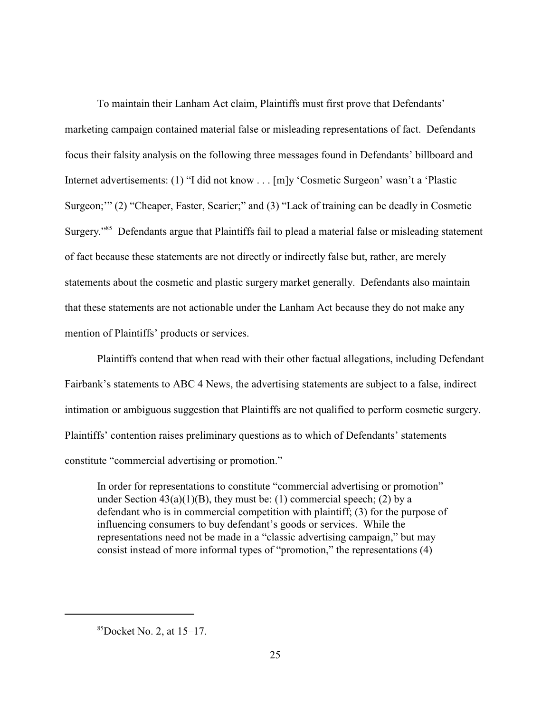To maintain their Lanham Act claim, Plaintiffs must first prove that Defendants' marketing campaign contained material false or misleading representations of fact. Defendants focus their falsity analysis on the following three messages found in Defendants' billboard and Internet advertisements: (1) "I did not know . . . [m]y 'Cosmetic Surgeon' wasn't a 'Plastic Surgeon;'" (2) "Cheaper, Faster, Scarier;" and (3) "Lack of training can be deadly in Cosmetic Surgery."<sup>85</sup> Defendants argue that Plaintiffs fail to plead a material false or misleading statement of fact because these statements are not directly or indirectly false but, rather, are merely statements about the cosmetic and plastic surgery market generally. Defendants also maintain that these statements are not actionable under the Lanham Act because they do not make any mention of Plaintiffs' products or services.

Plaintiffs contend that when read with their other factual allegations, including Defendant Fairbank's statements to ABC 4 News, the advertising statements are subject to a false, indirect intimation or ambiguous suggestion that Plaintiffs are not qualified to perform cosmetic surgery. Plaintiffs' contention raises preliminary questions as to which of Defendants' statements constitute "commercial advertising or promotion."

In order for representations to constitute "commercial advertising or promotion" under Section  $43(a)(1)(B)$ , they must be: (1) commercial speech; (2) by a defendant who is in commercial competition with plaintiff; (3) for the purpose of influencing consumers to buy defendant's goods or services. While the representations need not be made in a "classic advertising campaign," but may consist instead of more informal types of "promotion," the representations (4)

 ${}^{85}$ Docket No. 2, at 15–17.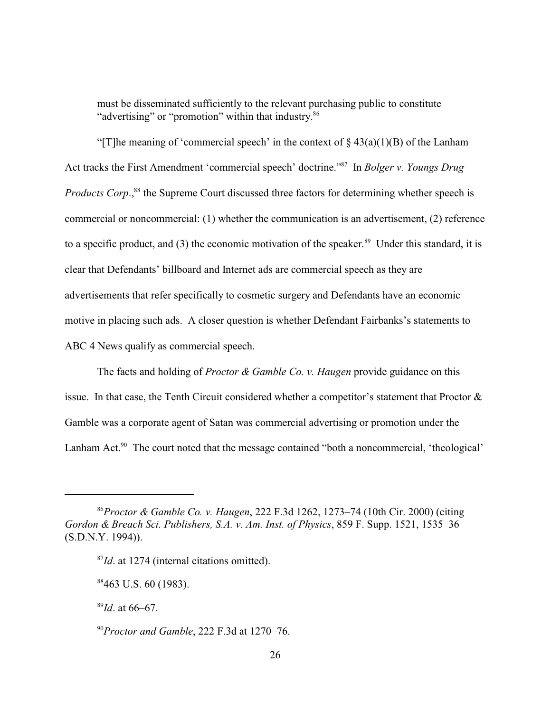must be disseminated sufficiently to the relevant purchasing public to constitute "advertising" or "promotion" within that industry.<sup>86</sup>

"[T]he meaning of 'commercial speech' in the context of  $\S$  43(a)(1)(B) of the Lanham Act tracks the First Amendment 'commercial speech' doctrine."<sup>87</sup> In *Bolger v. Youngs Drug Products Corp.*,<sup>88</sup> the Supreme Court discussed three factors for determining whether speech is commercial or noncommercial: (1) whether the communication is an advertisement, (2) reference to a specific product, and (3) the economic motivation of the speaker.<sup>89</sup> Under this standard, it is clear that Defendants' billboard and Internet ads are commercial speech as they are advertisements that refer specifically to cosmetic surgery and Defendants have an economic motive in placing such ads. A closer question is whether Defendant Fairbanks's statements to ABC 4 News qualify as commercial speech.

The facts and holding of *Proctor & Gamble Co. v. Haugen* provide guidance on this issue. In that case, the Tenth Circuit considered whether a competitor's statement that Proctor  $\&$ Gamble was a corporate agent of Satan was commercial advertising or promotion under the Lanham Act. $90$  The court noted that the message contained "both a noncommercial, 'theological'

 $^{89}$ *Id*. at 66–67.

<sup>90</sup> Proctor and Gamble, 222 F.3d at 1270–76.

*Proctor & Gamble Co. v. Haugen*, 222 F.3d 1262, 1273–74 (10th Cir. 2000) (citing <sup>86</sup> *Gordon & Breach Sci. Publishers, S.A. v. Am. Inst. of Physics*, 859 F. Supp. 1521, 1535–36 (S.D.N.Y. 1994)).

 $^{87}$ *Id*. at 1274 (internal citations omitted).

 $88463$  U.S. 60 (1983).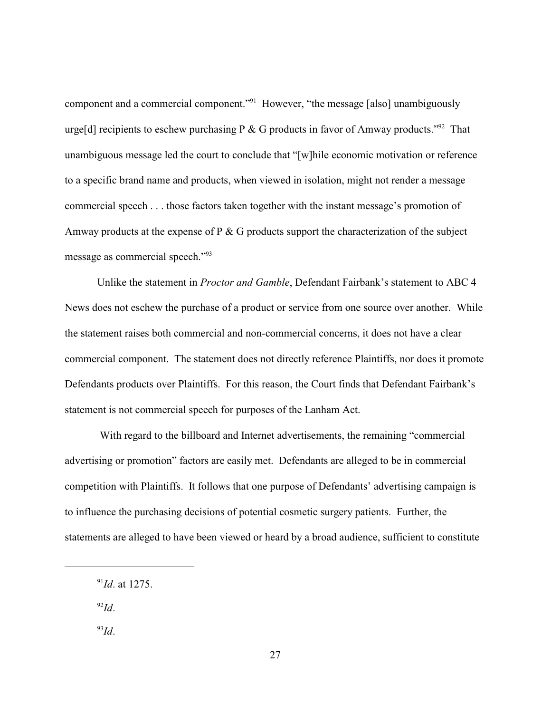component and a commercial component."<sup>91</sup> However, "the message [also] unambiguously urge<sup>[d]</sup> recipients to eschew purchasing P & G products in favor of Amway products.<sup>"92</sup> That unambiguous message led the court to conclude that "[w]hile economic motivation or reference to a specific brand name and products, when viewed in isolation, might not render a message commercial speech . . . those factors taken together with the instant message's promotion of Amway products at the expense of P & G products support the characterization of the subject message as commercial speech."<sup>93</sup>

Unlike the statement in *Proctor and Gamble*, Defendant Fairbank's statement to ABC 4 News does not eschew the purchase of a product or service from one source over another. While the statement raises both commercial and non-commercial concerns, it does not have a clear commercial component. The statement does not directly reference Plaintiffs, nor does it promote Defendants products over Plaintiffs. For this reason, the Court finds that Defendant Fairbank's statement is not commercial speech for purposes of the Lanham Act.

 With regard to the billboard and Internet advertisements, the remaining "commercial advertising or promotion" factors are easily met. Defendants are alleged to be in commercial competition with Plaintiffs. It follows that one purpose of Defendants' advertising campaign is to influence the purchasing decisions of potential cosmetic surgery patients. Further, the statements are alleged to have been viewed or heard by a broad audience, sufficient to constitute

 $^{92}Id.$ 

 $^{93}Id.$ 

 $^{91}$ *Id.* at 1275.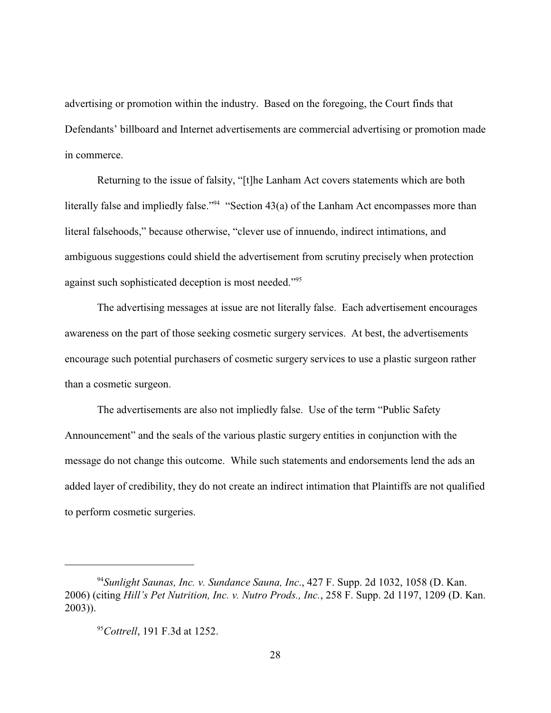advertising or promotion within the industry. Based on the foregoing, the Court finds that Defendants' billboard and Internet advertisements are commercial advertising or promotion made in commerce.

Returning to the issue of falsity, "[t]he Lanham Act covers statements which are both literally false and impliedly false." "Section 43(a) of the Lanham Act encompasses more than literal falsehoods," because otherwise, "clever use of innuendo, indirect intimations, and ambiguous suggestions could shield the advertisement from scrutiny precisely when protection against such sophisticated deception is most needed."<sup>95</sup>

The advertising messages at issue are not literally false. Each advertisement encourages awareness on the part of those seeking cosmetic surgery services. At best, the advertisements encourage such potential purchasers of cosmetic surgery services to use a plastic surgeon rather than a cosmetic surgeon.

The advertisements are also not impliedly false. Use of the term "Public Safety Announcement" and the seals of the various plastic surgery entities in conjunction with the message do not change this outcome. While such statements and endorsements lend the ads an added layer of credibility, they do not create an indirect intimation that Plaintiffs are not qualified to perform cosmetic surgeries.

<sup>&</sup>lt;sup>94</sup> Sunlight Saunas, Inc. v. Sundance Sauna, Inc., 427 F. Supp. 2d 1032, 1058 (D. Kan. 2006) (citing *Hill's Pet Nutrition, Inc. v. Nutro Prods., Inc.*, 258 F. Supp. 2d 1197, 1209 (D. Kan. 2003)).

<sup>&</sup>lt;sup>95</sup>Cottrell, 191 F.3d at 1252.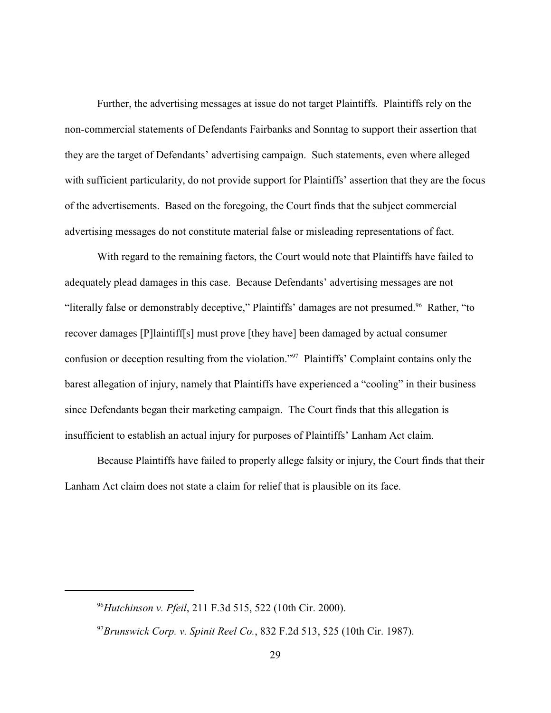Further, the advertising messages at issue do not target Plaintiffs. Plaintiffs rely on the non-commercial statements of Defendants Fairbanks and Sonntag to support their assertion that they are the target of Defendants' advertising campaign. Such statements, even where alleged with sufficient particularity, do not provide support for Plaintiffs' assertion that they are the focus of the advertisements. Based on the foregoing, the Court finds that the subject commercial advertising messages do not constitute material false or misleading representations of fact.

With regard to the remaining factors, the Court would note that Plaintiffs have failed to adequately plead damages in this case. Because Defendants' advertising messages are not "literally false or demonstrably deceptive," Plaintiffs' damages are not presumed.<sup>96</sup> Rather, "to recover damages [P]laintiff[s] must prove [they have] been damaged by actual consumer confusion or deception resulting from the violation."<sup>97</sup> Plaintiffs' Complaint contains only the barest allegation of injury, namely that Plaintiffs have experienced a "cooling" in their business since Defendants began their marketing campaign. The Court finds that this allegation is insufficient to establish an actual injury for purposes of Plaintiffs' Lanham Act claim.

Because Plaintiffs have failed to properly allege falsity or injury, the Court finds that their Lanham Act claim does not state a claim for relief that is plausible on its face.

<sup>&</sup>lt;sup>96</sup> Hutchinson v. Pfeil, 211 F.3d 515, 522 (10th Cir. 2000).

 $^{97}$ Brunswick Corp. v. Spinit Reel Co., 832 F.2d 513, 525 (10th Cir. 1987).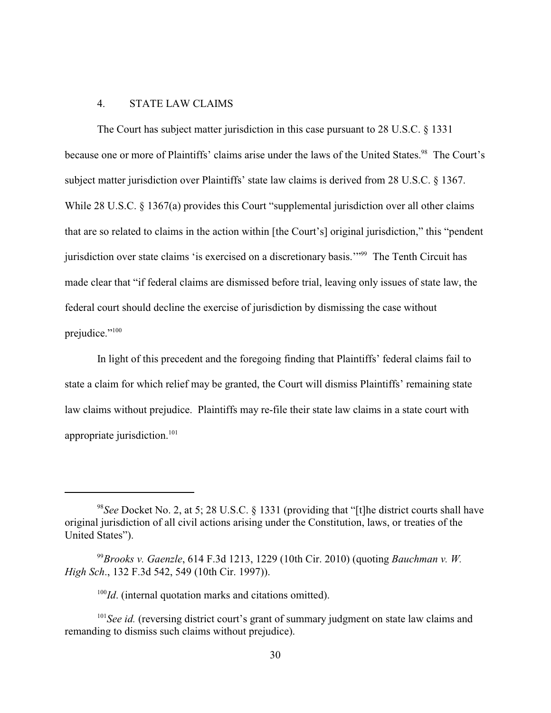# 4. STATE LAW CLAIMS

The Court has subject matter jurisdiction in this case pursuant to 28 U.S.C. § 1331 because one or more of Plaintiffs' claims arise under the laws of the United States.<sup>98</sup> The Court's subject matter jurisdiction over Plaintiffs' state law claims is derived from 28 U.S.C. § 1367. While 28 U.S.C. § 1367(a) provides this Court "supplemental jurisdiction over all other claims that are so related to claims in the action within [the Court's] original jurisdiction," this "pendent jurisdiction over state claims 'is exercised on a discretionary basis."<sup>99</sup> The Tenth Circuit has made clear that "if federal claims are dismissed before trial, leaving only issues of state law, the federal court should decline the exercise of jurisdiction by dismissing the case without prejudice."<sup>100</sup>

In light of this precedent and the foregoing finding that Plaintiffs' federal claims fail to state a claim for which relief may be granted, the Court will dismiss Plaintiffs' remaining state law claims without prejudice. Plaintiffs may re-file their state law claims in a state court with appropriate jurisdiction. <sup>101</sup>

 $100$ *Id*. (internal quotation marks and citations omitted).

 $101$  See id. (reversing district court's grant of summary judgment on state law claims and remanding to dismiss such claims without prejudice).

<sup>&</sup>lt;sup>98</sup>See Docket No. 2, at 5; 28 U.S.C. § 1331 (providing that "[t]he district courts shall have original jurisdiction of all civil actions arising under the Constitution, laws, or treaties of the United States").

<sup>&</sup>lt;sup>99</sup> Brooks v. Gaenzle, 614 F.3d 1213, 1229 (10th Cir. 2010) (quoting *Bauchman v. W. High Sch*., 132 F.3d 542, 549 (10th Cir. 1997)).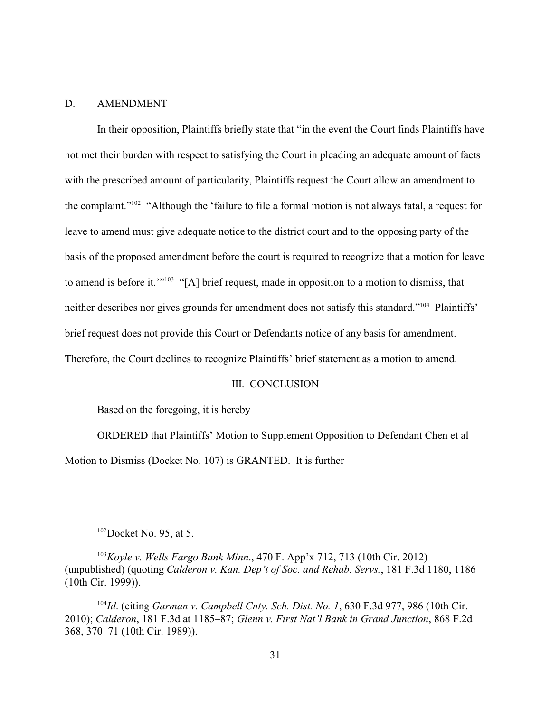### D. AMENDMENT

In their opposition, Plaintiffs briefly state that "in the event the Court finds Plaintiffs have not met their burden with respect to satisfying the Court in pleading an adequate amount of facts with the prescribed amount of particularity, Plaintiffs request the Court allow an amendment to the complaint."<sup> $102$ </sup> "Although the 'failure to file a formal motion is not always fatal, a request for leave to amend must give adequate notice to the district court and to the opposing party of the basis of the proposed amendment before the court is required to recognize that a motion for leave to amend is before it."<sup> $103$ </sup> "[A] brief request, made in opposition to a motion to dismiss, that neither describes nor gives grounds for amendment does not satisfy this standard."<sup>104</sup> Plaintiffs' brief request does not provide this Court or Defendants notice of any basis for amendment. Therefore, the Court declines to recognize Plaintiffs' brief statement as a motion to amend.

#### III. CONCLUSION

Based on the foregoing, it is hereby

ORDERED that Plaintiffs' Motion to Supplement Opposition to Defendant Chen et al Motion to Dismiss (Docket No. 107) is GRANTED. It is further

 $102$ Docket No. 95, at 5.

<sup>&</sup>lt;sup>103</sup> Koyle v. Wells Fargo Bank Minn., 470 F. App'x 712, 713 (10th Cir. 2012) (unpublished) (quoting *Calderon v. Kan. Dep't of Soc. and Rehab. Servs.*, 181 F.3d 1180, 1186 (10th Cir. 1999)).

<sup>&</sup>lt;sup>104</sup>Id. (citing *Garman v. Campbell Cnty. Sch. Dist. No. 1*, 630 F.3d 977, 986 (10th Cir. 2010); *Calderon*, 181 F.3d at 1185–87; *Glenn v. First Nat'l Bank in Grand Junction*, 868 F.2d 368, 370–71 (10th Cir. 1989)).